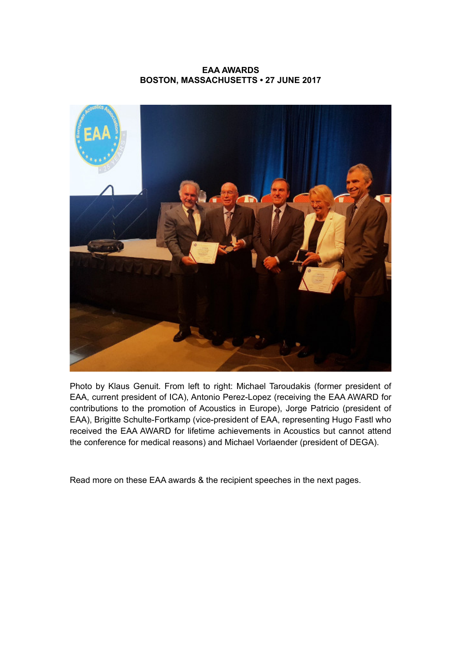## **EAA AWARDS BOSTON, MASSACHUSETTS • 27 JUNE 2017**



Photo by Klaus Genuit. From left to right: Michael Taroudakis (former president of EAA, current president of ICA), Antonio Perez-Lopez (receiving the EAA AWARD for contributions to the promotion of Acoustics in Europe), Jorge Patricio (president of EAA), Brigitte Schulte-Fortkamp (vice-president of EAA, representing Hugo Fastl who received the EAA AWARD for lifetime achievements in Acoustics but cannot attend the conference for medical reasons) and Michael Vorlaender (president of DEGA).

Read more on these EAA awards & the recipient speeches in the next pages.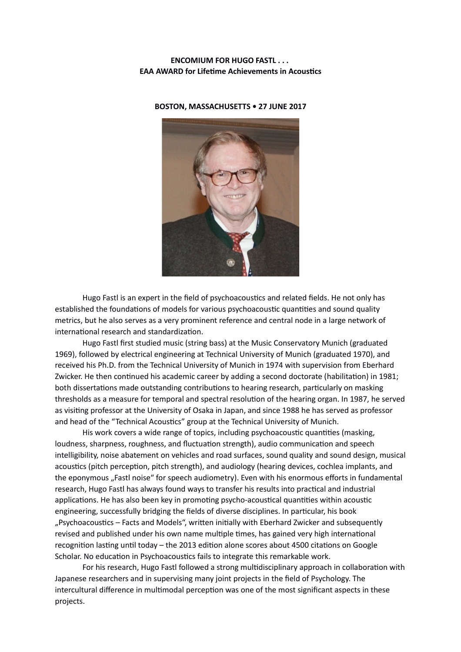#### **ENCOMIUM FOR HUGO FASTL . . . EAA AWARD for Lifetime Achievements in Acoustics**



**BOSTON, MASSACHUSETTS • 27 JUNE 2017**

Hugo Fastl is an expert in the field of psychoacoustics and related fields. He not only has established the foundations of models for various psychoacoustic quantities and sound quality metrics, but he also serves as a very prominent reference and central node in a large network of international research and standardization.

Hugo Fastl frst studied music (string bass) at the Music Conservatory Munich (graduated 1969), followed by electrical engineering at Technical University of Munich (graduated 1970), and received his Ph.D. from the Technical University of Munich in 1974 with supervision from Eberhard Zwicker. He then continued his academic career by adding a second doctorate (habilitation) in 1981; both dissertations made outstanding contributions to hearing research, particularly on masking thresholds as a measure for temporal and spectral resoluton of the hearing organ. In 1987, he served as visitng professor at the University of Osaka in Japan, and since 1988 he has served as professor and head of the "Technical Acoustics" group at the Technical University of Munich.

His work covers a wide range of topics, including psychoacoustic quantities (masking, loudness, sharpness, roughness, and fluctuation strength), audio communication and speech intelligibility, noise abatement on vehicles and road surfaces, sound quality and sound design, musical acoustics (pitch perception, pitch strength), and audiology (hearing devices, cochlea implants, and the eponymous "Fastl noise" for speech audiometry). Even with his enormous efforts in fundamental research, Hugo Fastl has always found ways to transfer his results into practical and industrial applications. He has also been key in promoting psycho-acoustical quantities within acoustic engineering, successfully bridging the felds of diverse disciplines. In partcular, his book "Psychoacoustics – Facts and Models", written initially with Eberhard Zwicker and subsequently revised and published under his own name multiple times, has gained very high international recognition lasting until today – the 2013 edition alone scores about 4500 citations on Google Scholar. No education in Psychoacoustics fails to integrate this remarkable work.

For his research, Hugo Fastl followed a strong multdisciplinary approach in collaboraton with Japanese researchers and in supervising many joint projects in the feld of Psychology. The intercultural difference in multimodal perception was one of the most significant aspects in these projects.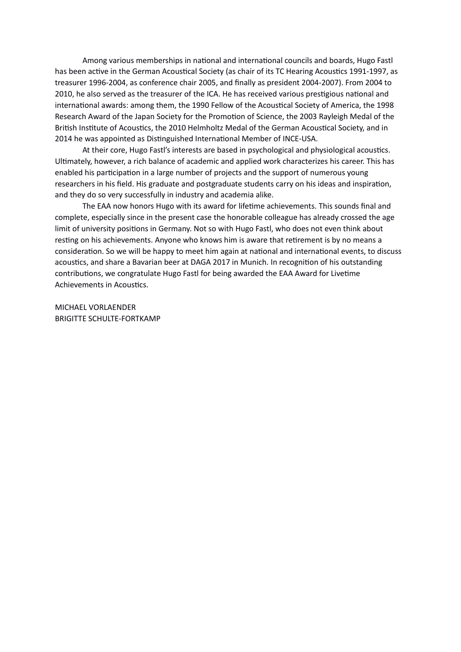Among various memberships in national and international councils and boards, Hugo Fastl has been active in the German Acoustical Society (as chair of its TC Hearing Acoustics 1991-1997, as treasurer 1996-2004, as conference chair 2005, and fnally as president 2004-2007). From 2004 to 2010, he also served as the treasurer of the ICA. He has received various prestgious natonal and international awards: among them, the 1990 Fellow of the Acoustical Society of America, the 1998 Research Award of the Japan Society for the Promoton of Science, the 2003 Rayleigh Medal of the British Institute of Acoustics, the 2010 Helmholtz Medal of the German Acoustical Society, and in 2014 he was appointed as Distinguished International Member of INCE-USA.

At their core, Hugo Fastl's interests are based in psychological and physiological acoustics. Ultmately, however, a rich balance of academic and applied work characterizes his career. This has enabled his participation in a large number of projects and the support of numerous young researchers in his feld. His graduate and postgraduate students carry on his ideas and inspiraton, and they do so very successfully in industry and academia alike.

The EAA now honors Hugo with its award for lifetme achievements. This sounds fnal and complete, especially since in the present case the honorable colleague has already crossed the age limit of university positons in Germany. Not so with Hugo Fastl, who does not even think about resting on his achievements. Anyone who knows him is aware that retirement is by no means a consideration. So we will be happy to meet him again at national and international events, to discuss acoustics, and share a Bavarian beer at DAGA 2017 in Munich. In recognition of his outstanding contributons, we congratulate Hugo Fastl for being awarded the EAA Award for Livetme Achievements in Acoustics.

MICHAEL VORLAENDER BRIGITTE SCHULTE-FORTKAMP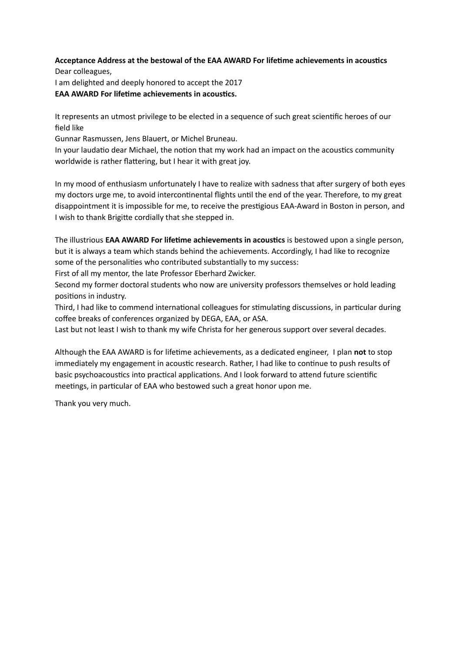# **Acceptance Address at the bestowal of the EAA AWARD For lifetme achievements in acoustcs**

Dear colleagues, I am delighted and deeply honored to accept the 2017 **EAA AWARD For lifetime achievements in acoustics.** 

It represents an utmost privilege to be elected in a sequence of such great scientific heroes of our feld like

Gunnar Rasmussen, Jens Blauert, or Michel Bruneau.

In your laudatio dear Michael, the notion that my work had an impact on the acoustics community worldwide is rather flattering, but I hear it with great joy.

In my mood of enthusiasm unfortunately I have to realize with sadness that after surgery of both eyes my doctors urge me, to avoid intercontinental flights until the end of the year. Therefore, to my great disappointment it is impossible for me, to receive the prestgious EAA-Award in Boston in person, and I wish to thank Brigite cordially that she stepped in.

The illustrious **EAA AWARD For lifetme achievements in acoustcs** is bestowed upon a single person, but it is always a team which stands behind the achievements. Accordingly, I had like to recognize some of the personalities who contributed substantially to my success:

First of all my mentor, the late Professor Eberhard Zwicker.

Second my former doctoral students who now are university professors themselves or hold leading positons in industry.

Third, I had like to commend international colleagues for stimulating discussions, in particular during coffee breaks of conferences organized by DEGA, EAA, or ASA.

Last but not least I wish to thank my wife Christa for her generous support over several decades.

Although the EAA AWARD is for lifetme achievements, as a dedicated engineer, I plan **not** to stop immediately my engagement in acoustic research. Rather, I had like to continue to push results of basic psychoacoustics into practical applications. And I look forward to attend future scientific meetings, in particular of EAA who bestowed such a great honor upon me.

Thank you very much.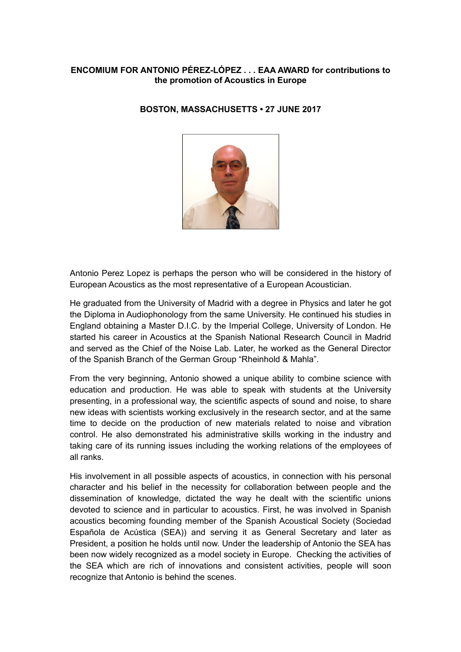# **ENCOMIUM FOR ANTONIO PÉREZ-LÓPEZ . . . EAA AWARD for contributions to the promotion of Acoustics in Europe**

# **BOSTON, MASSACHUSETTS • 27 JUNE 2017**



Antonio Perez Lopez is perhaps the person who will be considered in the history of European Acoustics as the most representative of a European Acoustician.

He graduated from the University of Madrid with a degree in Physics and later he got the Diploma in Audiophonology from the same University. He continued his studies in England obtaining a Master D.I.C. by the Imperial College, University of London. He started his career in Acoustics at the Spanish National Research Council in Madrid and served as the Chief of the Noise Lab. Later, he worked as the General Director of the Spanish Branch of the German Group "Rheinhold & Mahla".

From the very beginning, Antonio showed a unique ability to combine science with education and production. He was able to speak with students at the University presenting, in a professional way, the scientific aspects of sound and noise, to share new ideas with scientists working exclusively in the research sector, and at the same time to decide on the production of new materials related to noise and vibration control. He also demonstrated his administrative skills working in the industry and taking care of its running issues including the working relations of the employees of all ranks.

His involvement in all possible aspects of acoustics, in connection with his personal character and his belief in the necessity for collaboration between people and the dissemination of knowledge, dictated the way he dealt with the scientific unions devoted to science and in particular to acoustics. First, he was involved in Spanish acoustics becoming founding member of the Spanish Acoustical Society (Sociedad Española de Acústica (SEA)) and serving it as General Secretary and later as President, a position he holds until now. Under the leadership of Antonio the SEA has been now widely recognized as a model society in Europe. Checking the activities of the SEA which are rich of innovations and consistent activities, people will soon recognize that Antonio is behind the scenes.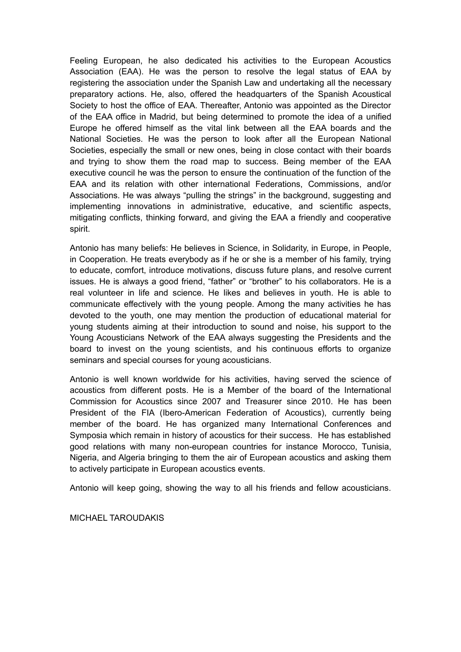Feeling European, he also dedicated his activities to the European Acoustics Association (EAA). He was the person to resolve the legal status of EAA by registering the association under the Spanish Law and undertaking all the necessary preparatory actions. He, also, offered the headquarters of the Spanish Acoustical Society to host the office of EAA. Thereafter, Antonio was appointed as the Director of the EAA office in Madrid, but being determined to promote the idea of a unified Europe he offered himself as the vital link between all the EAA boards and the National Societies. He was the person to look after all the European National Societies, especially the small or new ones, being in close contact with their boards and trying to show them the road map to success. Being member of the EAA executive council he was the person to ensure the continuation of the function of the EAA and its relation with other international Federations, Commissions, and/or Associations. He was always "pulling the strings" in the background, suggesting and implementing innovations in administrative, educative, and scientific aspects, mitigating conflicts, thinking forward, and giving the EAA a friendly and cooperative spirit.

Antonio has many beliefs: He believes in Science, in Solidarity, in Europe, in People, in Cooperation. He treats everybody as if he or she is a member of his family, trying to educate, comfort, introduce motivations, discuss future plans, and resolve current issues. He is always a good friend, "father" or "brother" to his collaborators. He is a real volunteer in life and science. He likes and believes in youth. He is able to communicate effectively with the young people. Among the many activities he has devoted to the youth, one may mention the production of educational material for young students aiming at their introduction to sound and noise, his support to the Young Acousticians Network of the EAA always suggesting the Presidents and the board to invest on the young scientists, and his continuous efforts to organize seminars and special courses for young acousticians.

Antonio is well known worldwide for his activities, having served the science of acoustics from different posts. He is a Member of the board of the International Commission for Acoustics since 2007 and Treasurer since 2010. He has been President of the FIA (Ibero-American Federation of Acoustics), currently being member of the board. He has organized many International Conferences and Symposia which remain in history of acoustics for their success. He has established good relations with many non-european countries for instance Morocco, Tunisia, Nigeria, and Algeria bringing to them the air of European acoustics and asking them to actively participate in European acoustics events.

Antonio will keep going, showing the way to all his friends and fellow acousticians.

MICHAEL TAROUDAKIS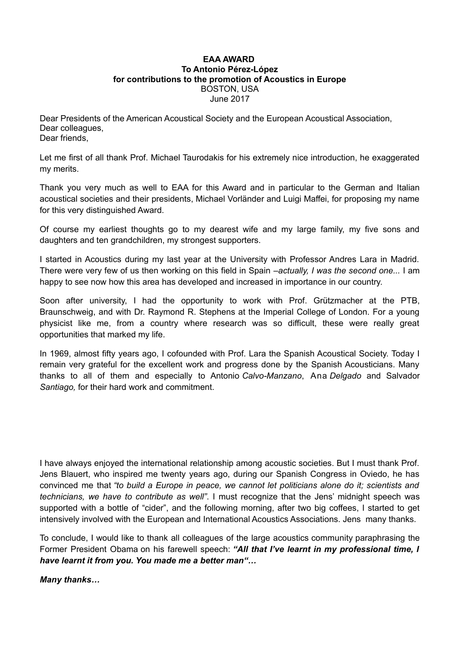#### **EAA AWARD To Antonio Pérez-López for contributions to the promotion of Acoustics in Europe** BOSTON, USA June 2017

Dear Presidents of the American Acoustical Society and the European Acoustical Association, Dear colleagues, Dear friends,

Let me first of all thank Prof. Michael Taurodakis for his extremely nice introduction, he exaggerated my merits.

Thank you very much as well to EAA for this Award and in particular to the German and Italian acoustical societies and their presidents, Michael Vorländer and Luigi Maffei, for proposing my name for this very distinguished Award.

Of course my earliest thoughts go to my dearest wife and my large family, my five sons and daughters and ten grandchildren, my strongest supporters.

I started in Acoustics during my last year at the University with Professor Andres Lara in Madrid. There were very few of us then working on this field in Spain *–actually, I was the second one...* I am happy to see now how this area has developed and increased in importance in our country.

Soon after university, I had the opportunity to work with Prof. Grützmacher at the PTB, Braunschweig, and with Dr. Raymond R. Stephens at the Imperial College of London. For a young physicist like me, from a country where research was so difficult, these were really great opportunities that marked my life.

In 1969, almost fifty years ago, I cofounded with Prof. Lara the Spanish Acoustical Society. Today I remain very grateful for the excellent work and progress done by the Spanish Acousticians. Many thanks to all of them and especially to Antonio *Calvo-Manzano*, Ana *Delgado* and Salvador *Santiago,* for their hard work and commitment.

I have always enjoyed the international relationship among acoustic societies. But I must thank Prof. Jens Blauert, who inspired me twenty years ago, during our Spanish Congress in Oviedo, he has convinced me that *"to build a Europe in peace, we cannot let politicians alone do it; scientists and technicians, we have to contribute as well"*. I must recognize that the Jens' midnight speech was supported with a bottle of "cider", and the following morning, after two big coffees, I started to get intensively involved with the European and International Acoustics Associations. Jens many thanks.

To conclude, I would like to thank all colleagues of the large acoustics community paraphrasing the Former President Obama on his farewell speech: *"All that I've learnt in my professional time, I have learnt it from you. You made me a better man"…*

## *Many thanks…*